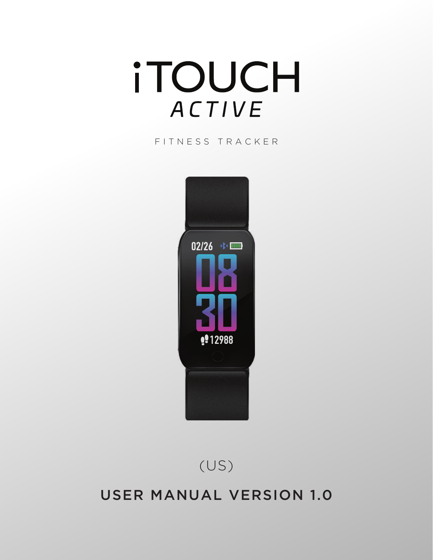# **iTOUCH** ACTIVE

#### FITNESS TRACKER



(US)

# USER MANUAL VERSION 1.0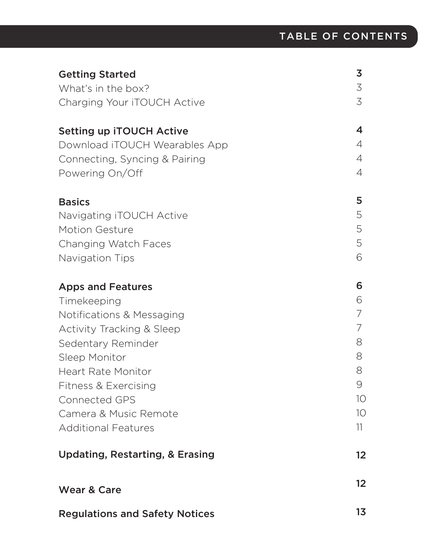| <b>Getting Started</b>                     | 3  |
|--------------------------------------------|----|
| What's in the box?                         | 3  |
| Charging Your iTOUCH Active                | 3  |
| <b>Setting up ITOUCH Active</b>            | 4  |
| Download iTOUCH Wearables App              | 4  |
| Connecting, Syncing & Pairing              | 4  |
| Powering On/Off                            | 4  |
| <b>Basics</b>                              | 5  |
| Navigating iTOUCH Active                   | 5  |
| <b>Motion Gesture</b>                      | 5  |
| Changing Watch Faces                       | 5  |
| Navigation Tips                            | 6  |
| <b>Apps and Features</b>                   | 6  |
| Timekeeping                                | 6  |
| Notifications & Messaging                  | 7  |
| <b>Activity Tracking &amp; Sleep</b>       |    |
| Sedentary Reminder                         | 8  |
| Sleep Monitor                              | 8  |
| <b>Heart Rate Monitor</b>                  | 8  |
| Fitness & Exercising                       | 9  |
| <b>Connected GPS</b>                       | 10 |
| Camera & Music Remote                      | 10 |
| <b>Additional Features</b>                 | 11 |
| <b>Updating, Restarting, &amp; Erasing</b> | 12 |
| <b>Wear &amp; Care</b>                     | 12 |
| <b>Regulations and Safety Notices</b>      | 13 |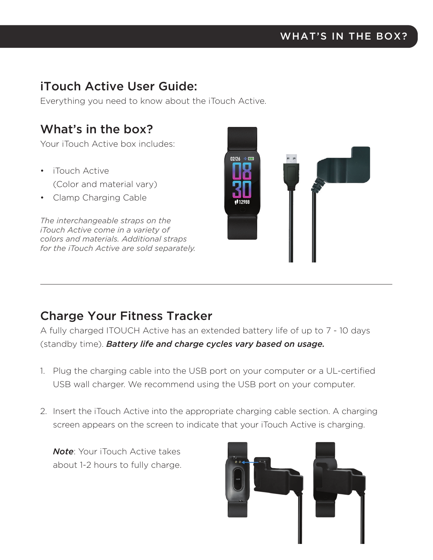# iTouch Active User Guide:

Everything you need to know about the iTouch Active.

# What's in the box?

Your iTouch Active box includes:

- iTouch Active (Color and material vary)
- Clamp Charging Cable

*The interchangeable straps on the iTouch Active come in a variety of colors and materials. Additional straps for the iTouch Active are sold separately.*



# Charge Your Fitness Tracker

A fully charged ITOUCH Active has an extended battery life of up to 7 - 10 days (standby time). *Battery life and charge cycles vary based on usage.*

- 1. Plug the charging cable into the USB port on your computer or a UL-certified USB wall charger. We recommend using the USB port on your computer.
- 2. Insert the iTouch Active into the appropriate charging cable section. A charging screen appears on the screen to indicate that your iTouch Active is charging.

*Note*: Your iTouch Active takes about 1-2 hours to fully charge.

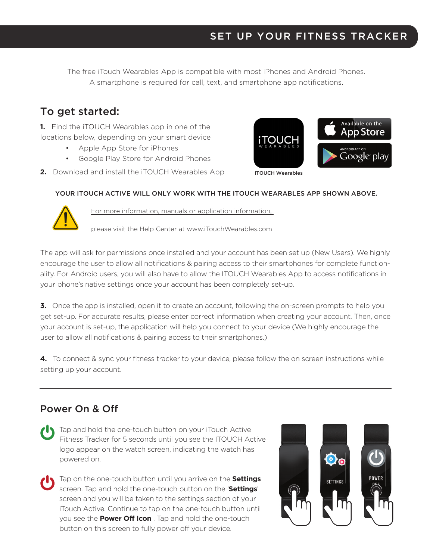## SET UP YOUR FITNESS TRACKER

The free iTouch Wearables App is compatible with most iPhones and Android Phones. A smartphone is required for call, text, and smartphone app notifications.

## To get started:

**1.** Find the iTOUCH Wearables app in one of the locations below, depending on your smart device

- Apple App Store for iPhones
- Google Play Store for Android Phones

**2.** Download and install the iTOUCH Wearables App



#### YOUR ITOUCH ACTIVE WILL ONLY WORK WITH THE ITOUCH WEARABLES APP SHOWN ABOVE.



For more information, manuals or application information,

please visit the Help Center at www.iTouchWearables.com

The app will ask for permissions once installed and your account has been set up (New Users). We highly encourage the user to allow all notifications & pairing access to their smartphones for complete functionality. For Android users, you will also have to allow the ITOUCH Wearables App to access notifications in your phone's native settings once your account has been completely set-up.

**3.** Once the app is installed, open it to create an account, following the on-screen prompts to help you get set-up. For accurate results, please enter correct information when creating your account. Then, once your account is set-up, the application will help you connect to your device (We highly encourage the user to allow all notifications & pairing access to their smartphones.)

**4.** To connect & sync your fitness tracker to your device, please follow the on screen instructions while setting up your account.

#### Power On & Off

- Tap and hold the one-touch button on your iTouch Active Fitness Tracker for 5 seconds until you see the ITOUCH Active logo appear on the watch screen, indicating the watch has powered on.
- Tap on the one-touch button until you arrive on the **Settings** screen. Tap and hold the one-touch button on the '**Settings**' screen and you will be taken to the settings section of your iTouch Active. Continue to tap on the one-touch button until you see the **Power Off Icon** . Tap and hold the one-touch button on this screen to fully power off your device.

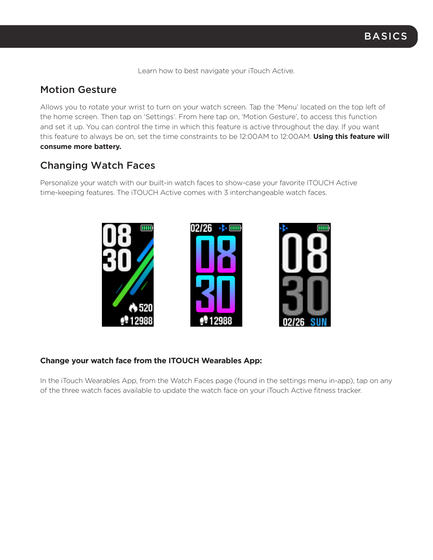Learn how to best navigate your iTouch Active.

#### Motion Gesture

Allows you to rotate your wrist to turn on your watch screen. Tap the 'Menu' located on the top left of the home screen. Then tap on 'Settings'. From here tap on, 'Motion Gesture', to access this function and set it up. You can control the time in which this feature is active throughout the day. If you want this feature to always be on, set the time constraints to be 12:00AM to 12:00AM. **Using this feature will consume more battery.**

## Changing Watch Faces

Personalize your watch with our built-in watch faces to show-case your favorite ITOUCH Active time-keeping features. The iTOUCH Active comes with 3 interchangeable watch faces.



#### **Change your watch face from the ITOUCH Wearables App:**

In the iTouch Wearables App, from the Watch Faces page (found in the settings menu in-app), tap on any of the three watch faces available to update the watch face on your iTouch Active fitness tracker.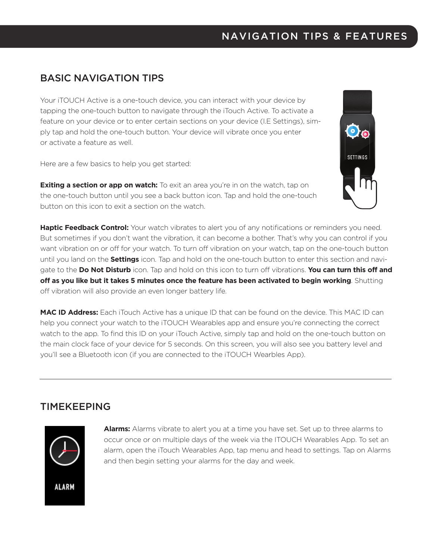#### NAVIGATION TIPS & FEATURES

#### BASIC NAVIGATION TIPS

Your iTOUCH Active is a one-touch device, you can interact with your device by tapping the one-touch button to navigate through the iTouch Active. To activate a feature on your device or to enter certain sections on your device (I.E Settings), simply tap and hold the one-touch button. Your device will vibrate once you enter or activate a feature as well.

Here are a few basics to help you get started:

**Exiting a section or app on watch:** To exit an area you're in on the watch, tap on the one-touch button until you see a back button icon. Tap and hold the one-touch button on this icon to exit a section on the watch.



**Haptic Feedback Control:** Your watch vibrates to alert you of any notifications or reminders you need. But sometimes if you don't want the vibration, it can become a bother. That's why you can control if you want vibration on or off for your watch. To turn off vibration on your watch, tap on the one-touch button until you land on the **Settings** icon. Tap and hold on the one-touch button to enter this section and navigate to the **Do Not Disturb** icon. Tap and hold on this icon to turn off vibrations. **You can turn this off and off as you like but it takes 5 minutes once the feature has been activated to begin working**. Shutting off vibration will also provide an even longer battery life.

**MAC ID Address:** Each iTouch Active has a unique ID that can be found on the device. This MAC ID can help you connect your watch to the iTOUCH Wearables app and ensure you're connecting the correct watch to the app. To find this ID on your iTouch Active, simply tap and hold on the one-touch button on the main clock face of your device for 5 seconds. On this screen, you will also see you battery level and you'll see a Bluetooth icon (if you are connected to the iTOUCH Wearbles App).

#### TIMEKEEPING



**Alarms:** Alarms vibrate to alert you at a time you have set. Set up to three alarms to occur once or on multiple days of the week via the ITOUCH Wearables App. To set an alarm, open the iTouch Wearables App, tap menu and head to settings. Tap on Alarms and then begin setting your alarms for the day and week.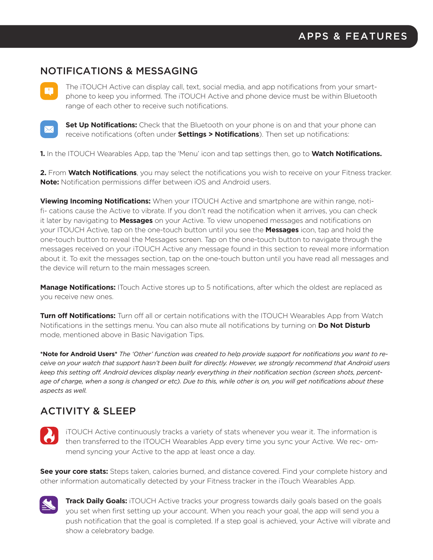#### NOTIFICATIONS & MESSAGING

M

The iTOUCH Active can display call, text, social media, and app notifications from your smartphone to keep you informed. The iTOUCH Active and phone device must be within Bluetooth range of each other to receive such notifications.



**Set Up Notifications:** Check that the Bluetooth on your phone is on and that your phone can receive notifications (often under **Settings > Notifications**). Then set up notifications:

**1.** In the ITOUCH Wearables App, tap the 'Menu' icon and tap settings then, go to **Watch Notifications.**

**2.** From **Watch Notifications**, you may select the notifications you wish to receive on your Fitness tracker. **Note:** Notification permissions differ between iOS and Android users.

**Viewing Incoming Notifications:** When your ITOUCH Active and smartphone are within range, notifi- cations cause the Active to vibrate. If you don't read the notification when it arrives, you can check it later by navigating to **Messages** on your Active. To view unopened messages and notifications on your ITOUCH Active, tap on the one-touch button until you see the **Messages** icon, tap and hold the one-touch button to reveal the Messages screen. Tap on the one-touch button to navigate through the messages received on your iTOUCH Active any message found in this section to reveal more information about it. To exit the messages section, tap on the one-touch button until you have read all messages and the device will return to the main messages screen.

**Manage Notifications:** ITouch Active stores up to 5 notifications, after which the oldest are replaced as you receive new ones.

**Turn off Notifications:** Turn off all or certain notifications with the ITOUCH Wearables App from Watch Notifications in the settings menu. You can also mute all notifications by turning on **Do Not Disturb** mode, mentioned above in Basic Navigation Tips.

**\*Note for Android Users\*** *The 'Other' function was created to help provide support for notifications you want to receive on your watch that support hasn't been built for directly. However, we strongly recommend that Android users keep this setting off. Android devices display nearly everything in their notification section (screen shots, percentage of charge, when a song is changed or etc). Due to this, while other is on, you will get notifications about these aspects as well.*

## ACTIVITY & SLEEP



iTOUCH Active continuously tracks a variety of stats whenever you wear it. The information is then transferred to the ITOUCH Wearables App every time you sync your Active. We rec- ommend syncing your Active to the app at least once a day.

**See your core stats:** Steps taken, calories burned, and distance covered. Find your complete history and other information automatically detected by your Fitness tracker in the iTouch Wearables App.



**Track Daily Goals:** iTOUCH Active tracks your progress towards daily goals based on the goals you set when first setting up your account. When you reach your goal, the app will send you a push notification that the goal is completed. If a step goal is achieved, your Active will vibrate and show a celebratory badge.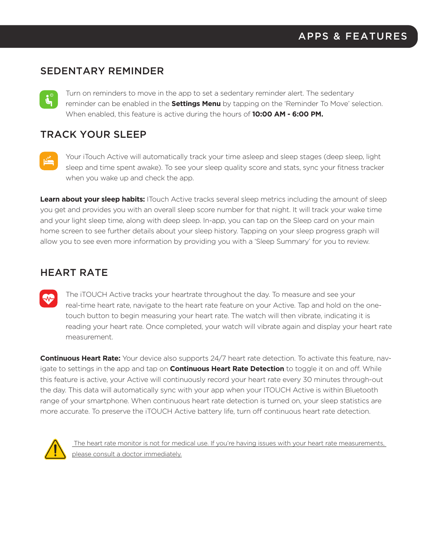#### SEDENTARY REMINDER

Turn on reminders to move in the app to set a sedentary reminder alert. The sedentary  $\mathbf{L}^{\circ}$ reminder can be enabled in the **Settings Menu** by tapping on the 'Reminder To Move' selection. When enabled, this feature is active during the hours of **10:00 AM - 6:00 PM.**

#### TRACK YOUR SLEEP

Your iTouch Active will automatically track your time asleep and sleep stages (deep sleep, light sleep and time spent awake). To see your sleep quality score and stats, sync your fitness tracker when you wake up and check the app.

**Learn about your sleep habits:** ITouch Active tracks several sleep metrics including the amount of sleep you get and provides you with an overall sleep score number for that night. It will track your wake time and your light sleep time, along with deep sleep. In-app, you can tap on the Sleep card on your main home screen to see further details about your sleep history. Tapping on your sleep progress graph will allow you to see even more information by providing you with a 'Sleep Summary' for you to review.

#### HEART RATE

The iTOUCH Active tracks your heartrate throughout the day. To measure and see your real-time heart rate, navigate to the heart rate feature on your Active. Tap and hold on the onetouch button to begin measuring your heart rate. The watch will then vibrate, indicating it is reading your heart rate. Once completed, your watch will vibrate again and display your heart rate measurement.

**Continuous Heart Rate:** Your device also supports 24/7 heart rate detection. To activate this feature, navigate to settings in the app and tap on **Continuous Heart Rate Detection** to toggle it on and off. While this feature is active, your Active will continuously record your heart rate every 30 minutes through-out the day. This data will automatically sync with your app when your ITOUCH Active is within Bluetooth range of your smartphone. When continuous heart rate detection is turned on, your sleep statistics are more accurate. To preserve the iTOUCH Active battery life, turn off continuous heart rate detection.



 The heart rate monitor is not for medical use. If you're having issues with your heart rate measurements, please consult a doctor immediately.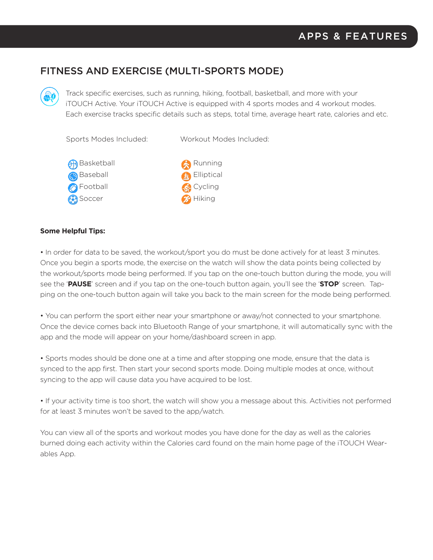## FITNESS AND EXERCISE (MULTI-SPORTS MODE)

Track specific exercises, such as running, hiking, football, basketball, and more with your iTOUCH Active. Your iTOUCH Active is equipped with 4 sports modes and 4 workout modes. Each exercise tracks specific details such as steps, total time, average heart rate, calories and etc.

Sports Modes Included:

Workout Modes Included:





#### **Some Helpful Tips:**

• In order for data to be saved, the workout/sport you do must be done actively for at least 3 minutes. Once you begin a sports mode, the exercise on the watch will show the data points being collected by the workout/sports mode being performed. If you tap on the one-touch button during the mode, you will see the '**PAUSE**' screen and if you tap on the one-touch button again, you'll see the '**STOP**' screen. Tapping on the one-touch button again will take you back to the main screen for the mode being performed.

• You can perform the sport either near your smartphone or away/not connected to your smartphone. Once the device comes back into Bluetooth Range of your smartphone, it will automatically sync with the app and the mode will appear on your home/dashboard screen in app.

• Sports modes should be done one at a time and after stopping one mode, ensure that the data is synced to the app first. Then start your second sports mode. Doing multiple modes at once, without syncing to the app will cause data you have acquired to be lost.

• If your activity time is too short, the watch will show you a message about this. Activities not performed for at least 3 minutes won't be saved to the app/watch.

You can view all of the sports and workout modes you have done for the day as well as the calories burned doing each activity within the Calories card found on the main home page of the iTOUCH Wearables App.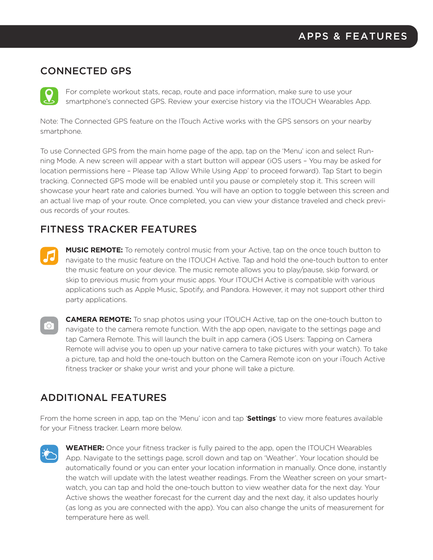#### CONNECTED GPS

For complete workout stats, recap, route and pace information, make sure to use your smartphone's connected GPS. Review your exercise history via the ITOUCH Wearables App.

Note: The Connected GPS feature on the ITouch Active works with the GPS sensors on your nearby smartphone.

To use Connected GPS from the main home page of the app, tap on the 'Menu' icon and select Running Mode. A new screen will appear with a start button will appear (iOS users – You may be asked for location permissions here – Please tap 'Allow While Using App' to proceed forward). Tap Start to begin tracking. Connected GPS mode will be enabled until you pause or completely stop it. This screen will showcase your heart rate and calories burned. You will have an option to toggle between this screen and an actual live map of your route. Once completed, you can view your distance traveled and check previous records of your routes.

#### FITNESS TRACKER FEATURES

- **MUSIC REMOTE:** To remotely control music from your Active, tap on the once touch button to navigate to the music feature on the ITOUCH Active. Tap and hold the one-touch button to enter the music feature on your device. The music remote allows you to play/pause, skip forward, or skip to previous music from your music apps. Your ITOUCH Active is compatible with various applications such as Apple Music, Spotify, and Pandora. However, it may not support other third party applications.
- **CAMERA REMOTE:** To snap photos using your ITOUCH Active, tap on the one-touch button to  $^{\circ}\!\!\circ$   $\!$ navigate to the camera remote function. With the app open, navigate to the settings page and tap Camera Remote. This will launch the built in app camera (iOS Users: Tapping on Camera Remote will advise you to open up your native camera to take pictures with your watch). To take a picture, tap and hold the one-touch button on the Camera Remote icon on your iTouch Active fitness tracker or shake your wrist and your phone will take a picture.

## ADDITIONAL FEATURES

From the home screen in app, tap on the 'Menu' icon and tap '**Settings**' to view more features available for your Fitness tracker. Learn more below.

**WEATHER:** Once your fitness tracker is fully paired to the app, open the ITOUCH Wearables App. Navigate to the settings page, scroll down and tap on 'Weather'. Your location should be automatically found or you can enter your location information in manually. Once done, instantly the watch will update with the latest weather readings. From the Weather screen on your smartwatch, you can tap and hold the one-touch button to view weather data for the next day. Your Active shows the weather forecast for the current day and the next day, it also updates hourly (as long as you are connected with the app). You can also change the units of measurement for temperature here as well.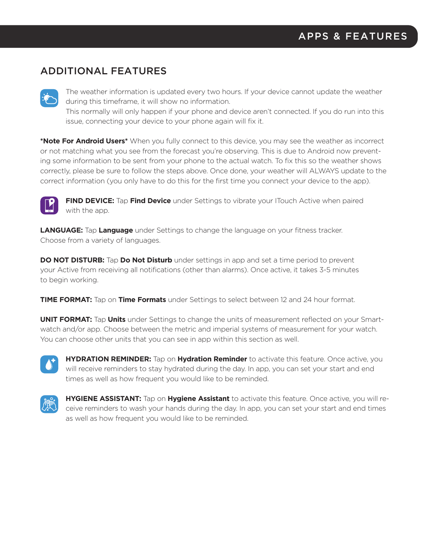## ADDITIONAL FEATURES



The weather information is updated every two hours. If your device cannot update the weather during this timeframe, it will show no information.

This normally will only happen if your phone and device aren't connected. If you do run into this issue, connecting your device to your phone again will fix it.

**\*Note For Android Users\*** When you fully connect to this device, you may see the weather as incorrect or not matching what you see from the forecast you're observing. This is due to Android now preventing some information to be sent from your phone to the actual watch. To fix this so the weather shows correctly, please be sure to follow the steps above. Once done, your weather will ALWAYS update to the correct information (you only have to do this for the first time you connect your device to the app).



**FIND DEVICE:** Tap **Find Device** under Settings to vibrate your ITouch Active when paired with the app.

**LANGUAGE:** Tap **Language** under Settings to change the language on your fitness tracker. Choose from a variety of languages.

**DO NOT DISTURB:** Tap **Do Not Disturb** under settings in app and set a time period to prevent your Active from receiving all notifications (other than alarms). Once active, it takes 3-5 minutes to begin working.

**TIME FORMAT:** Tap on **Time Formats** under Settings to select between 12 and 24 hour format.

**UNIT FORMAT:** Tap **Units** under Settings to change the units of measurement reflected on your Smartwatch and/or app. Choose between the metric and imperial systems of measurement for your watch. You can choose other units that you can see in app within this section as well.



**HYDRATION REMINDER:** Tap on **Hydration Reminder** to activate this feature. Once active, you will receive reminders to stay hydrated during the day. In app, you can set your start and end times as well as how frequent you would like to be reminded.



**HYGIENE ASSISTANT:** Tap on **Hygiene Assistant** to activate this feature. Once active, you will receive reminders to wash your hands during the day. In app, you can set your start and end times as well as how frequent you would like to be reminded.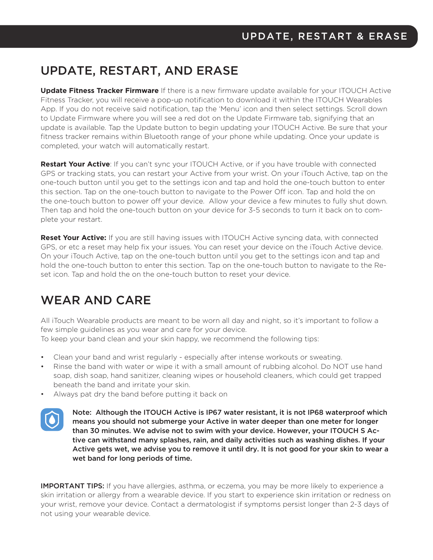# UPDATE, RESTART, AND ERASE

**Update Fitness Tracker Firmware** If there is a new firmware update available for your ITOUCH Active Fitness Tracker, you will receive a pop-up notification to download it within the ITOUCH Wearables App. If you do not receive said notification, tap the 'Menu' icon and then select settings. Scroll down to Update Firmware where you will see a red dot on the Update Firmware tab, signifying that an update is available. Tap the Update button to begin updating your ITOUCH Active. Be sure that your fitness tracker remains within Bluetooth range of your phone while updating. Once your update is completed, your watch will automatically restart.

**Restart Your Active**: If you can't sync your ITOUCH Active, or if you have trouble with connected GPS or tracking stats, you can restart your Active from your wrist. On your iTouch Active, tap on the one-touch button until you get to the settings icon and tap and hold the one-touch button to enter this section. Tap on the one-touch button to navigate to the Power Off icon. Tap and hold the on the one-touch button to power off your device. Allow your device a few minutes to fully shut down. Then tap and hold the one-touch button on your device for 3-5 seconds to turn it back on to complete your restart.

**Reset Your Active:** If you are still having issues with ITOUCH Active syncing data, with connected GPS, or etc a reset may help fix your issues. You can reset your device on the iTouch Active device. On your iTouch Active, tap on the one-touch button until you get to the settings icon and tap and hold the one-touch button to enter this section. Tap on the one-touch button to navigate to the Reset icon. Tap and hold the on the one-touch button to reset your device.

# WEAR AND CARE

All iTouch Wearable products are meant to be worn all day and night, so it's important to follow a few simple guidelines as you wear and care for your device.

To keep your band clean and your skin happy, we recommend the following tips:

- Clean your band and wrist regularly especially after intense workouts or sweating.
- Rinse the band with water or wipe it with a small amount of rubbing alcohol. Do NOT use hand soap, dish soap, hand sanitizer, cleaning wipes or household cleaners, which could get trapped beneath the band and irritate your skin.
- Always pat dry the band before putting it back on



Note: Although the ITOUCH Active is IP67 water resistant, it is not IP68 waterproof which means you should not submerge your Active in water deeper than one meter for longer than 30 minutes. We advise not to swim with your device. However, your ITOUCH S Active can withstand many splashes, rain, and daily activities such as washing dishes. If your Active gets wet, we advise you to remove it until dry. It is not good for your skin to wear a wet band for long periods of time.

**IMPORTANT TIPS:** If you have allergies, asthma, or eczema, you may be more likely to experience a skin irritation or allergy from a wearable device. If you start to experience skin irritation or redness on your wrist, remove your device. Contact a dermatologist if symptoms persist longer than 2-3 days of not using your wearable device.